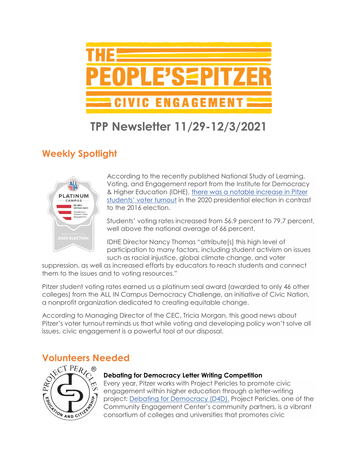

# **TPP Newsletter 11/29-12/3/2021**

## **Weekly Spotlight**



According to the recently published National Study of Learning, Voting, and Engagement report from the Institute for Democracy & Higher Education (IDHE), [there was a notable increase in Pitzer](https://www.pitzer.edu/communications/2021/11/11/high-levels-of-voter-participation-among-pitzer-college-students-earns-national-recognition/)  [students' voter turnout](https://www.pitzer.edu/communications/2021/11/11/high-levels-of-voter-participation-among-pitzer-college-students-earns-national-recognition/) in the 2020 presidential election in contrast to the 2016 election.

Students' voting rates increased from 56.9 percent to 79.7 percent, well above the national average of 66 percent.

IDHE Director Nancy Thomas "attribute[s] this high level of participation to many factors, including student activism on issues such as racial injustice, global climate change, and voter

suppression, as well as increased efforts by educators to reach students and connect them to the issues and to voting resources."

Pitzer student voting rates earned us a platinum seal award (awarded to only 46 other colleges) from the ALL IN Campus Democracy Challenge, an initiative of Civic Nation, a nonprofit organization dedicated to creating equitable change.

According to Managing Director of the CEC, Tricia Morgan, this good news about Pitzer's voter turnout reminds us that while voting and developing policy won't solve all issues, civic engagement is a powerful tool at our disposal.



#### **Debating for Democracy Letter Writing Competition**

Every year, Pitzer works with Project Pericles to promote civic engagement within higher education through a letter-writing project: [Debating for Democracy \(D4D\).](https://www.pitzer.edu/cec/community-pillars/peoples-pitzer/debating-democracy/) Project Pericles, one of the Community Engagement Center's community partners, is a vibrant consortium of colleges and universities that promotes civic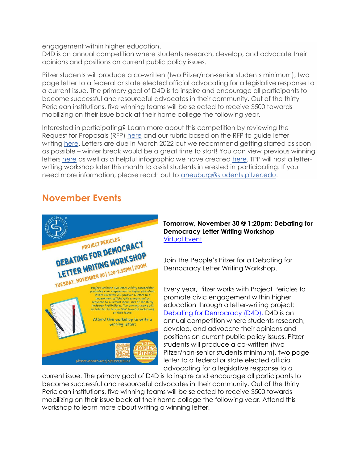engagement within higher education.

D4D is an annual competition where students research, develop, and advocate their opinions and positions on current public policy issues.

Pitzer students will produce a co-written (two Pitzer/non-senior students minimum), two page letter to a federal or state elected official advocating for a legislative response to a current issue. The primary goal of D4D is to inspire and encourage all participants to become successful and resourceful advocates in their community. Out of the thirty Periclean institutions, five winning teams will be selected to receive \$500 towards mobilizing on their issue back at their home college the following year.

Interested in participating? Learn more about this competition by reviewing the Request for Proposals (RFP) [here](https://drive.google.com/file/d/1l-2bH00Sbyn9_FxA-j7HVGQgs8Zd2w0S/view?usp=sharing) and our rubric based on the RFP to guide letter writing [here.](https://drive.google.com/drive/u/1/folders/1Mra8zjcQ3qfLdgs1VEx9o7WKGUZn29I8) Letters are due in March 2022 but we recommend getting started as soon as possible – winter break would be a great time to start! You can view previous winning letters [here](https://drive.google.com/drive/u/1/folders/18tiBphFq-Lrhr2OoR77evntyGY8dxgfY) as well as a helpful infographic we have created [here.](https://www.pitzer.edu/cec/wp-content/uploads/sites/54/2019/11/InfoGraphic.pdf) TPP will host a letterwriting workshop later this month to assist students interested in participating. If you need more information, please reach out to [aneuburg@students.pitzer.edu.](mailto:aneuburg@students.pitzer.edu)

### **November Events**



#### **Tomorrow, November 30 @ 1:20pm: Debating for Democracy Letter Writing Workshop** [Virtual Event](https://pitzer.zoom.us/j/89259325067)

Join The People's Pitzer for a Debating for Democracy Letter Writing Workshop.

Every year, Pitzer works with Project Pericles to promote civic engagement within higher education through a letter-writing project: [Debating for Democracy \(D4D\).](https://www.pitzer.edu/cec/community-pillars/peoples-pitzer/debating-democracy/) D4D is an annual competition where students research, develop, and advocate their opinions and positions on current public policy issues. Pitzer students will produce a co-written (two Pitzer/non-senior students minimum), two page letter to a federal or state elected official advocating for a legislative response to a

current issue. The primary goal of D4D is to inspire and encourage all participants to become successful and resourceful advocates in their community. Out of the thirty Periclean institutions, five winning teams will be selected to receive \$500 towards mobilizing on their issue back at their home college the following year. Attend this workshop to learn more about writing a winning letter!